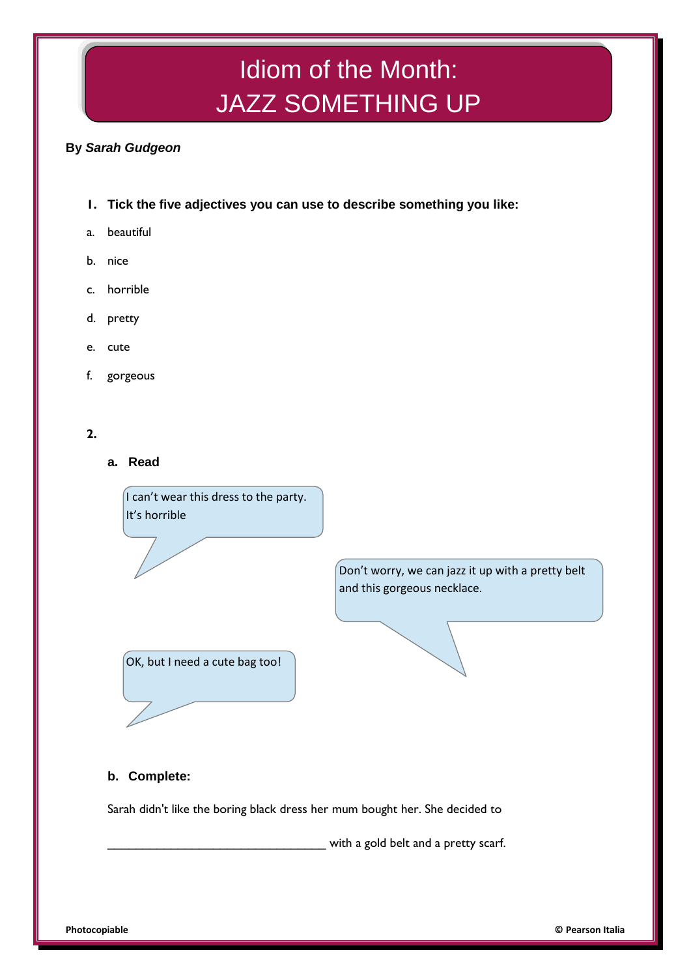# Idiom of the Month: JAZZ SOMETHING UP

## **By** *Sarah Gudgeon*

- **1. Tick the five adjectives you can use to describe something you like:**
- a. beautiful
- b. nice
- c. horrible
- d. pretty
- e. cute
- f. gorgeous

### **2.**

**a. Read**

I can't wear this dress to the party. It's horrible

> Don't worry, we can jazz it up with a pretty belt and this gorgeous necklace.



## **b. Complete:**

Sarah didn't like the boring black dress her mum bought her. She decided to

\_\_\_\_\_\_\_\_\_\_\_\_\_\_\_\_\_\_\_\_\_\_\_\_\_\_\_\_\_\_\_ with a gold belt and a pretty scarf.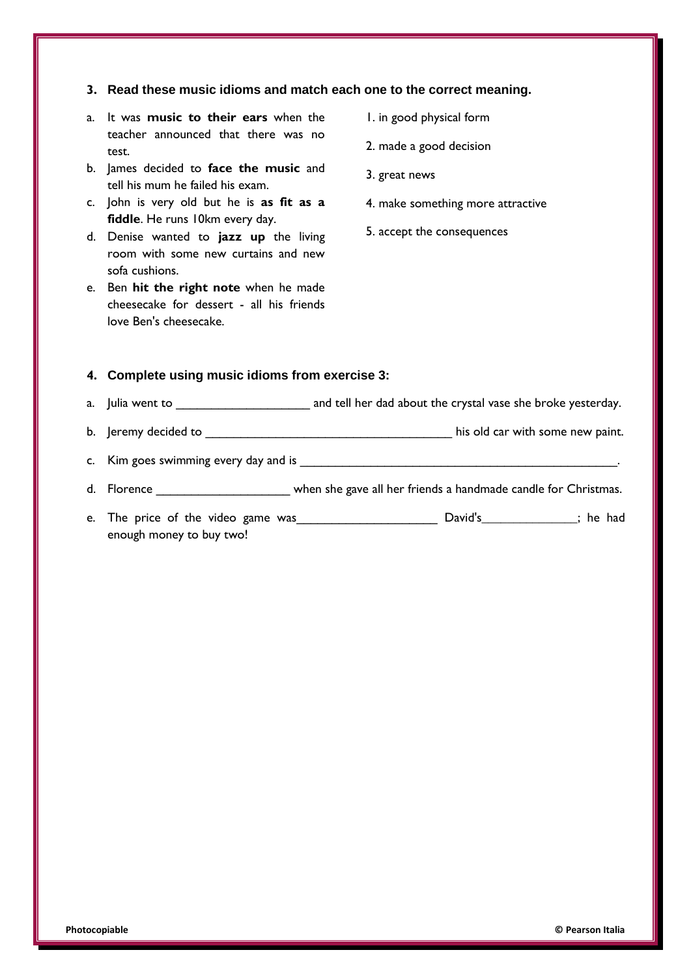#### **3. Read these music idioms and match each one to the correct meaning.**

- a. It was **music to their ears** when the teacher announced that there was no test.
- b. James decided to **face the music** and tell his mum he failed his exam.
- c. John is very old but he is **as fit as a fiddle**. He runs 10km every day.
- d. Denise wanted to **jazz up** the living room with some new curtains and new sofa cushions.
- e. Ben **hit the right note** when he made cheesecake for dessert - all his friends love Ben's cheesecake.
- 1. in good physical form
- 2. made a good decision
- 3. great news
- 4. make something more attractive
- 5. accept the consequences

#### **4. Complete using music idioms from exercise 3:**

- a. Julia went to **a** metall her dad about the crystal vase she broke yesterday.
- b. Jeremy decided to \_\_\_\_\_\_\_\_\_\_\_\_\_\_\_\_\_\_\_\_\_\_\_\_\_\_\_\_\_\_\_\_\_\_\_ his old car with some new paint.
- c. Kim goes swimming every day and is
- d. Florence \_\_\_\_\_\_\_\_\_\_\_\_\_\_\_\_\_\_\_\_\_\_\_ when she gave all her friends a handmade candle for Christmas.
- e. The price of the video game was\_\_\_\_\_\_\_\_\_\_\_\_\_\_\_\_\_\_\_\_ David's**\_\_\_\_\_\_\_\_\_\_\_\_\_\_\_**; he had enough money to buy two!